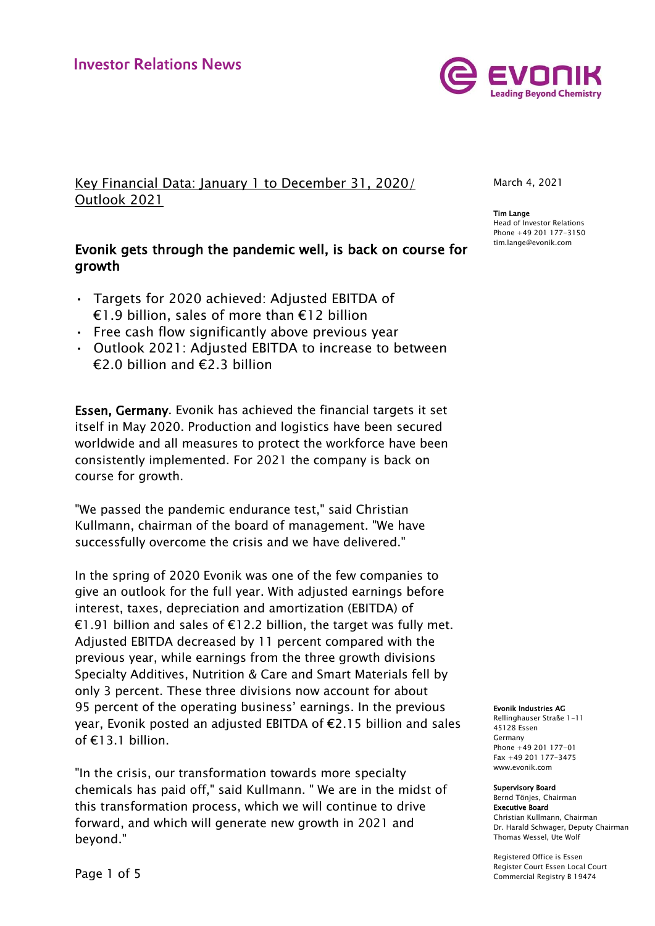

Key Financial Data: January 1 to December 31, 2020/ Outlook 2021

# Evonik gets through the pandemic well, is back on course for growth

- Targets for 2020 achieved: Adjusted EBITDA of €1.9 billion, sales of more than €12 billion
- Free cash flow significantly above previous year
- Outlook 2021: Adjusted EBITDA to increase to between  $\epsilon$ 2.0 billion and  $\epsilon$ 2.3 billion

Essen, Germany. Evonik has achieved the financial targets it set itself in May 2020. Production and logistics have been secured worldwide and all measures to protect the workforce have been consistently implemented. For 2021 the company is back on course for growth.

"We passed the pandemic endurance test," said Christian Kullmann, chairman of the board of management. "We have successfully overcome the crisis and we have delivered."

In the spring of 2020 Evonik was one of the few companies to give an outlook for the full year. With adjusted earnings before interest, taxes, depreciation and amortization (EBITDA) of €1.91 billion and sales of €12.2 billion, the target was fully met. Adjusted EBITDA decreased by 11 percent compared with the previous year, while earnings from the three growth divisions Specialty Additives, Nutrition & Care and Smart Materials fell by only 3 percent. These three divisions now account for about 95 percent of the operating business' earnings. In the previous year, Evonik posted an adjusted EBITDA of €2.15 billion and sales of €13.1 billion.

"In the crisis, our transformation towards more specialty chemicals has paid off," said Kullmann. " We are in the midst of this transformation process, which we will continue to drive forward, and which will generate new growth in 2021 and beyond."

March 4, 2021

Tim Lange Head of Investor Relations Phone +49 201 177-3150 tim.lange@evonik.com

#### Evonik Industries AG

Rellinghauser Straße 1-11 45128 Essen Germany Phone +49 201 177-01 Fax +49 201 177-3475 www.evonik.com

#### Supervisory Board

Bernd Tönjes, Chairman Executive Board Christian Kullmann, Chairman Dr. Harald Schwager, Deputy Chairman Thomas Wessel, Ute Wolf

Registered Office is Essen Register Court Essen Local Court Commercial Registry B 19474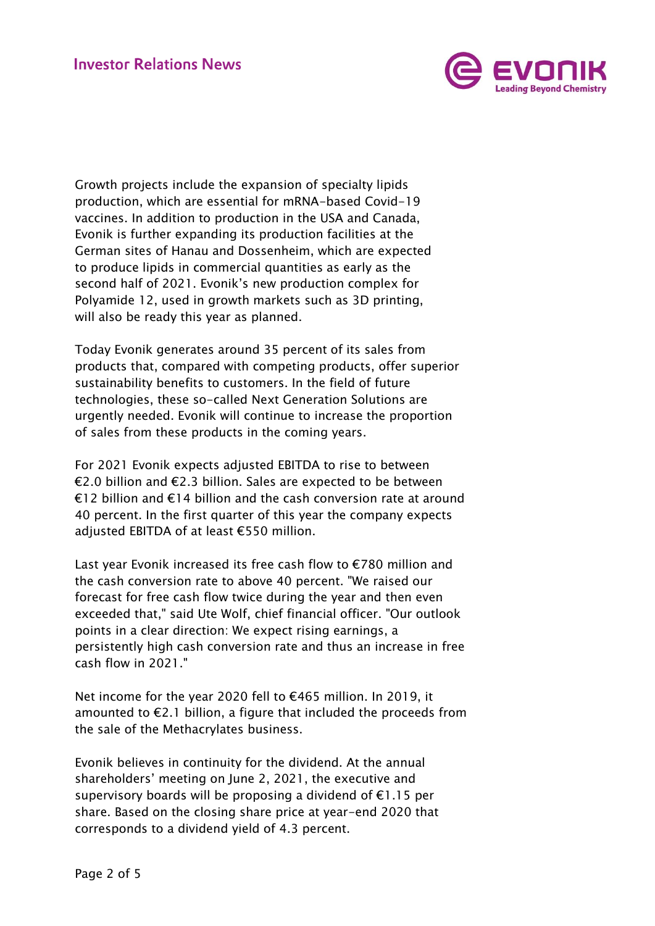

Growth projects include the expansion of specialty lipids production, which are essential for mRNA-based Covid-19 vaccines. In addition to production in the USA and Canada, Evonik is further expanding its production facilities at the German sites of Hanau and Dossenheim, which are expected to produce lipids in commercial quantities as early as the second half of 2021. Evonik's new production complex for Polyamide 12, used in growth markets such as 3D printing, will also be ready this year as planned.

Today Evonik generates around 35 percent of its sales from products that, compared with competing products, offer superior sustainability benefits to customers. In the field of future technologies, these so-called Next Generation Solutions are urgently needed. Evonik will continue to increase the proportion of sales from these products in the coming years.

For 2021 Evonik expects adjusted EBITDA to rise to between €2.0 billion and €2.3 billion. Sales are expected to be between €12 billion and €14 billion and the cash conversion rate at around 40 percent. In the first quarter of this year the company expects adjusted EBITDA of at least €550 million.

Last year Evonik increased its free cash flow to €780 million and the cash conversion rate to above 40 percent. "We raised our forecast for free cash flow twice during the year and then even exceeded that," said Ute Wolf, chief financial officer. "Our outlook points in a clear direction: We expect rising earnings, a persistently high cash conversion rate and thus an increase in free cash flow in 2021."

Net income for the year 2020 fell to €465 million. In 2019, it amounted to  $E$ 2.1 billion, a figure that included the proceeds from the sale of the Methacrylates business.

Evonik believes in continuity for the dividend. At the annual shareholders' meeting on June 2, 2021, the executive and supervisory boards will be proposing a dividend of  $E1.15$  per share. Based on the closing share price at year-end 2020 that corresponds to a dividend yield of 4.3 percent.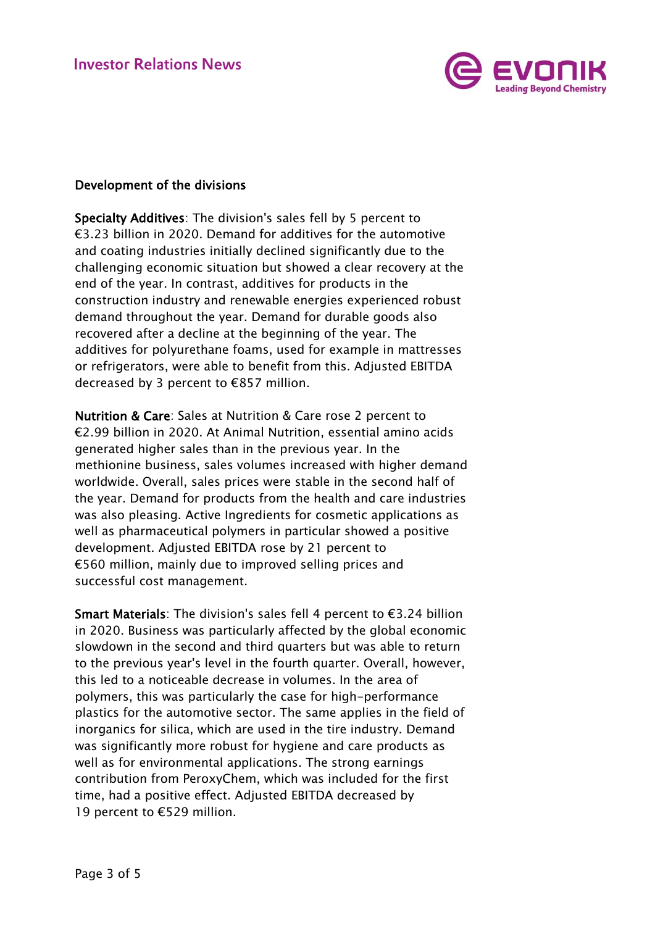

## Development of the divisions

Specialty Additives: The division's sales fell by 5 percent to €3.23 billion in 2020. Demand for additives for the automotive and coating industries initially declined significantly due to the challenging economic situation but showed a clear recovery at the end of the year. In contrast, additives for products in the construction industry and renewable energies experienced robust demand throughout the year. Demand for durable goods also recovered after a decline at the beginning of the year. The additives for polyurethane foams, used for example in mattresses or refrigerators, were able to benefit from this. Adjusted EBITDA decreased by 3 percent to €857 million.

Nutrition & Care: Sales at Nutrition & Care rose 2 percent to €2.99 billion in 2020. At Animal Nutrition, essential amino acids generated higher sales than in the previous year. In the methionine business, sales volumes increased with higher demand worldwide. Overall, sales prices were stable in the second half of the year. Demand for products from the health and care industries was also pleasing. Active Ingredients for cosmetic applications as well as pharmaceutical polymers in particular showed a positive development. Adjusted EBITDA rose by 21 percent to €560 million, mainly due to improved selling prices and successful cost management.

Smart Materials: The division's sales fell 4 percent to €3.24 billion in 2020. Business was particularly affected by the global economic slowdown in the second and third quarters but was able to return to the previous year's level in the fourth quarter. Overall, however, this led to a noticeable decrease in volumes. In the area of polymers, this was particularly the case for high-performance plastics for the automotive sector. The same applies in the field of inorganics for silica, which are used in the tire industry. Demand was significantly more robust for hygiene and care products as well as for environmental applications. The strong earnings contribution from PeroxyChem, which was included for the first time, had a positive effect. Adjusted EBITDA decreased by 19 percent to €529 million.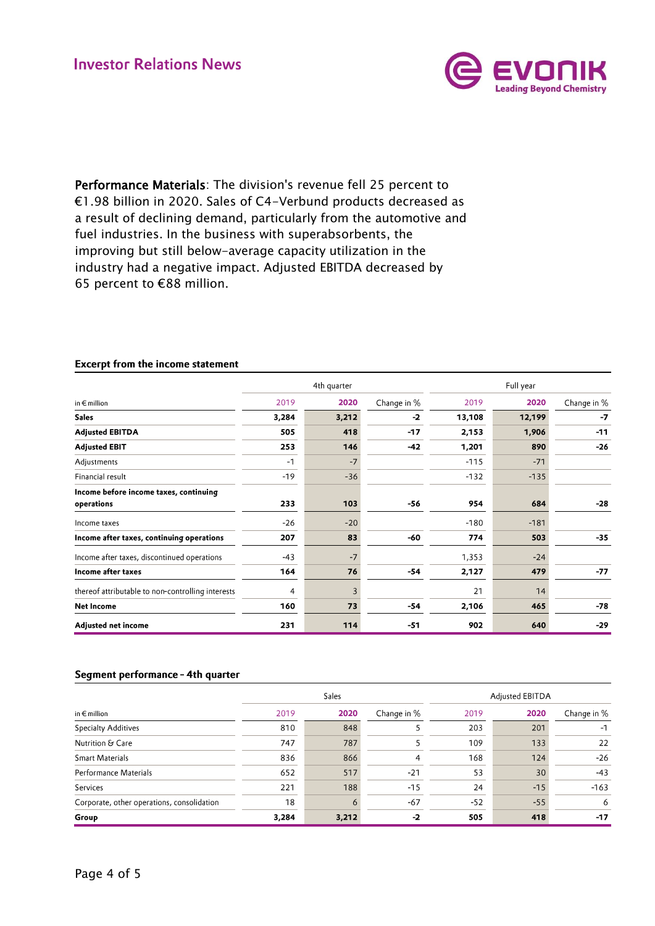

Performance Materials: The division's revenue fell 25 percent to €1.98 billion in 2020. Sales of C4-Verbund products decreased as a result of declining demand, particularly from the automotive and fuel industries. In the business with superabsorbents, the improving but still below-average capacity utilization in the industry had a negative impact. Adjusted EBITDA decreased by 65 percent to €88 million.

|                                                   | 4th quarter |       |             | Full year |        |             |
|---------------------------------------------------|-------------|-------|-------------|-----------|--------|-------------|
| in $\epsilon$ million                             | 2019        | 2020  | Change in % | 2019      | 2020   | Change in % |
| <b>Sales</b>                                      | 3,284       | 3,212 | $-2$        | 13,108    | 12,199 | -7          |
| <b>Adjusted EBITDA</b>                            | 505         | 418   | $-17$       | 2,153     | 1,906  | $-11$       |
| <b>Adjusted EBIT</b>                              | 253         | 146   | $-42$       | 1,201     | 890    | $-26$       |
| Adjustments                                       | $-1$        | $-7$  |             | $-115$    | $-71$  |             |
| Financial result                                  | $-19$       | $-36$ |             | $-132$    | $-135$ |             |
| Income before income taxes, continuing            |             |       |             |           |        |             |
| operations                                        | 233         | 103   | $-56$       | 954       | 684    | $-28$       |
| Income taxes                                      | $-26$       | $-20$ |             | $-180$    | $-181$ |             |
| Income after taxes, continuing operations         | 207         | 83    | -60         | 774       | 503    | $-35$       |
| Income after taxes, discontinued operations       | $-43$       | $-7$  |             | 1,353     | $-24$  |             |
| Income after taxes                                | 164         | 76    | $-54$       | 2,127     | 479    | $-77$       |
| thereof attributable to non-controlling interests | 4           | 3     |             | 21        | 14     |             |
| Net Income                                        | 160         | 73    | $-54$       | 2,106     | 465    | $-78$       |
| Adjusted net income                               | 231         | 114   | $-51$       | 902       | 640    | $-29$       |

## **Excerpt from the income statement**

#### Segment performance - 4th quarter

|                                            | Sales |       |             | Adjusted EBITDA |       |             |
|--------------------------------------------|-------|-------|-------------|-----------------|-------|-------------|
| in $\epsilon$ million                      | 2019  | 2020  | Change in % | 2019            | 2020  | Change in % |
| <b>Specialty Additives</b>                 | 810   | 848   |             | 203             | 201   | -1          |
| Nutrition & Care                           | 747   | 787   |             | 109             | 133   | 22          |
| <b>Smart Materials</b>                     | 836   | 866   | 4           | 168             | 124   | $-26$       |
| Performance Materials                      | 652   | 517   | $-21$       | 53              | 30    | $-43$       |
| Services                                   | 221   | 188   | $-15$       | 24              | $-15$ | $-163$      |
| Corporate, other operations, consolidation | 18    | 6     | $-67$       | $-52$           | $-55$ | 6           |
| Group                                      | 3,284 | 3,212 | $-2$        | 505             | 418   | $-17$       |